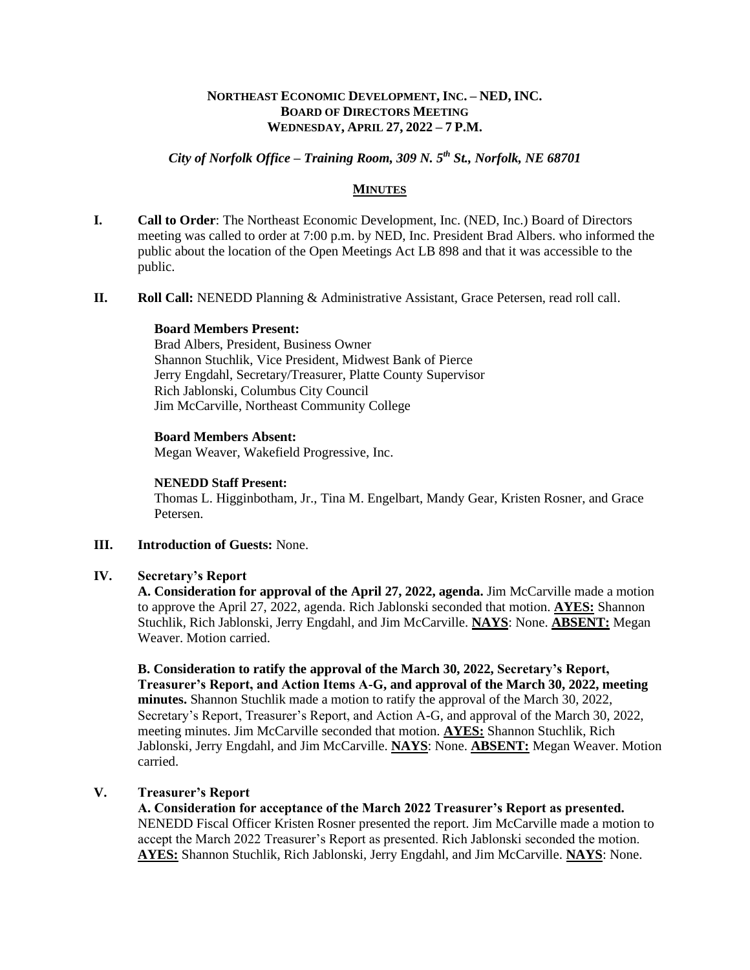### **NORTHEAST ECONOMIC DEVELOPMENT, INC. – NED, INC. BOARD OF DIRECTORS MEETING WEDNESDAY, APRIL 27, 2022 – 7 P.M.**

# *City of Norfolk Office – Training Room, 309 N. 5th St., Norfolk, NE 68701*

### **MINUTES**

- **I. Call to Order**: The Northeast Economic Development, Inc. (NED, Inc.) Board of Directors meeting was called to order at 7:00 p.m. by NED, Inc. President Brad Albers. who informed the public about the location of the Open Meetings Act LB 898 and that it was accessible to the public.
- **II. Roll Call:** NENEDD Planning & Administrative Assistant, Grace Petersen, read roll call.

#### **Board Members Present:**

Brad Albers, President, Business Owner Shannon Stuchlik, Vice President, Midwest Bank of Pierce Jerry Engdahl, Secretary/Treasurer, Platte County Supervisor Rich Jablonski, Columbus City Council Jim McCarville, Northeast Community College

### **Board Members Absent:**

Megan Weaver, Wakefield Progressive, Inc.

#### **NENEDD Staff Present:**

Thomas L. Higginbotham, Jr., Tina M. Engelbart, Mandy Gear, Kristen Rosner, and Grace Petersen.

### **III. Introduction of Guests:** None.

#### **IV. Secretary's Report**

**A. Consideration for approval of the April 27, 2022, agenda.** Jim McCarville made a motion to approve the April 27, 2022, agenda. Rich Jablonski seconded that motion. **AYES:** Shannon Stuchlik, Rich Jablonski, Jerry Engdahl, and Jim McCarville. **NAYS**: None. **ABSENT:** Megan Weaver. Motion carried.

**B. Consideration to ratify the approval of the March 30, 2022, Secretary's Report, Treasurer's Report, and Action Items A-G, and approval of the March 30, 2022, meeting minutes.** Shannon Stuchlik made a motion to ratify the approval of the March 30, 2022, Secretary's Report, Treasurer's Report, and Action A-G, and approval of the March 30, 2022, meeting minutes. Jim McCarville seconded that motion. **AYES:** Shannon Stuchlik, Rich Jablonski, Jerry Engdahl, and Jim McCarville. **NAYS**: None. **ABSENT:** Megan Weaver. Motion carried.

## **V. Treasurer's Report**

**A. Consideration for acceptance of the March 2022 Treasurer's Report as presented.** NENEDD Fiscal Officer Kristen Rosner presented the report. Jim McCarville made a motion to accept the March 2022 Treasurer's Report as presented. Rich Jablonski seconded the motion. **AYES:** Shannon Stuchlik, Rich Jablonski, Jerry Engdahl, and Jim McCarville. **NAYS**: None.